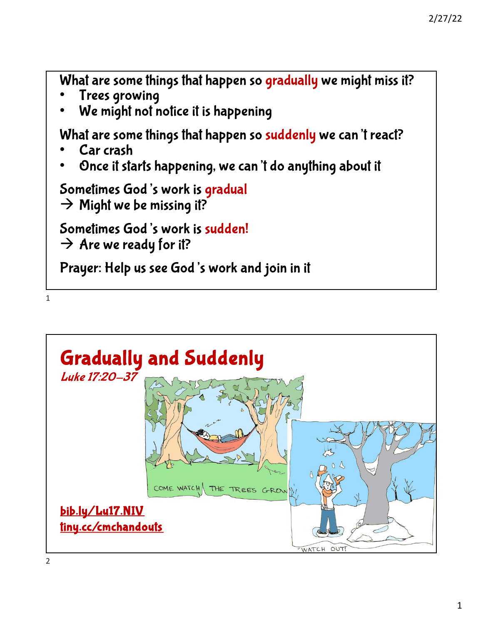What are some things that happen so gradually we might miss it?

- Trees growing
- We might not notice it is happening

What are some things that happen so suddenly we can't react?

- Car crash
- Once it starts happening, we can't do anything about it

Sometimes God's work is gradual

 $\rightarrow$  Might we be missing it?

Sometimes God's work is sudden!  $\rightarrow$  Are we ready for it?

Prayer: Help us see God's work and join in it



1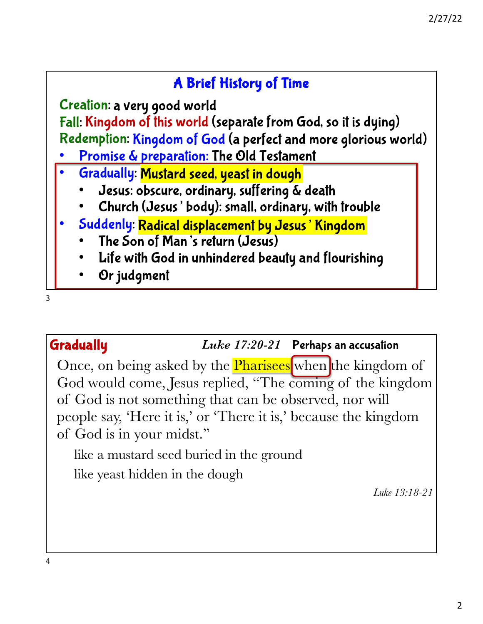# A Brief History of Time

Creation: a very good world Fall: Kingdom of this world (separate from God, so it is dying) Redemption: Kingdom of God (a perfect and more glorious world)

- Promise & preparation: The Old Testament
- Gradually: Mustard seed, yeast in dough
	- Jesus: obscure, ordinary, suffering & death
	- Church (Jesus' body): small, ordinary, with trouble
- Suddenly: Radical displacement by Jesus' Kingdom
	- The Son of Man's return (Jesus)
	- Life with God in unhindered beauty and flourishing
	- Or judgment

3

# Gradually *Luke 17:20-21* Perhaps an accusation

Once, on being asked by the **Pharisees** when the kingdom of God would come, Jesus replied, "The coming of the kingdom of God is not something that can be observed, nor will people say, 'Here it is,' or 'There it is,' because the kingdom of God is in your midst."

like a mustard seed buried in the ground

like yeast hidden in the dough

*Luke 13:18-21*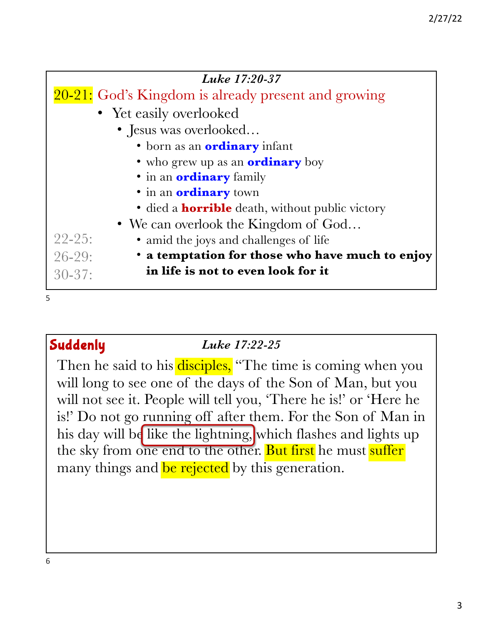| Luke 17:20-37                                                  |
|----------------------------------------------------------------|
| 20-21: God's Kingdom is already present and growing            |
| • Yet easily overlooked                                        |
| • Jesus was overlooked                                         |
| · born as an <b>ordinary</b> infant                            |
| • who grew up as an <b>ordinary</b> boy                        |
| • in an <b>ordinary</b> family                                 |
| • in an <b>ordinary</b> town                                   |
| • died a <b>horrible</b> death, without public victory         |
| • We can overlook the Kingdom of God                           |
| $22 - 25:$<br>• amid the joys and challenges of life           |
| • a temptation for those who have much to enjoy<br>$26 - 29$ : |
| in life is not to even look for it<br>$30 - 37$ :              |
|                                                                |

5

# Suddenly *Luke 17:22-25*

Then he said to his disciples, "The time is coming when you will long to see one of the days of the Son of Man, but you will not see it. People will tell you, 'There he is!' or 'Here he is!' Do not go running off after them. For the Son of Man in his day will be like the lightning, which flashes and lights up the sky from one end to the other. But first he must suffer many things and be rejected by this generation.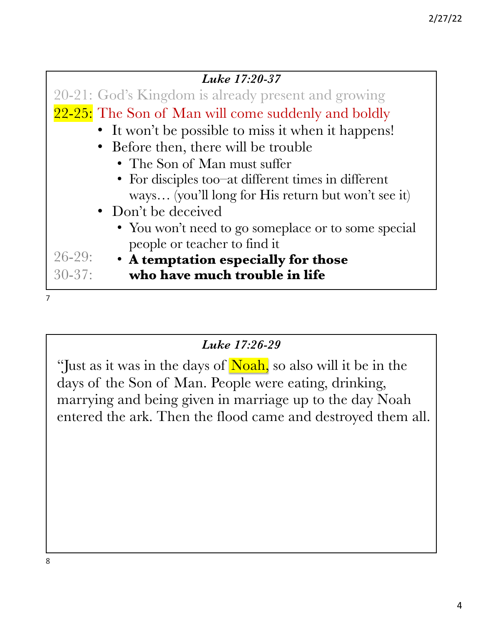| Luke 17:20-37                                       |
|-----------------------------------------------------|
| 20-21: God's Kingdom is already present and growing |
| 22-25: The Son of Man will come suddenly and boldly |
| • It won't be possible to miss it when it happens!  |
| • Before then, there will be trouble                |
| • The Son of Man must suffer                        |
| • For disciples too-at different times in different |
| ways (you'll long for His return but won't see it)  |
| • Don't be deceived                                 |
| • You won't need to go someplace or to some special |
| people or teacher to find it                        |
| $26 - 29$ :<br>• A temptation especially for those  |
| who have much trouble in life<br>$30 - 37$ :        |
|                                                     |

### *Luke 17:26-29*

"Just as it was in the days of Noah, so also will it be in the days of the Son of Man. People were eating, drinking, marrying and being given in marriage up to the day Noah entered the ark. Then the flood came and destroyed them all.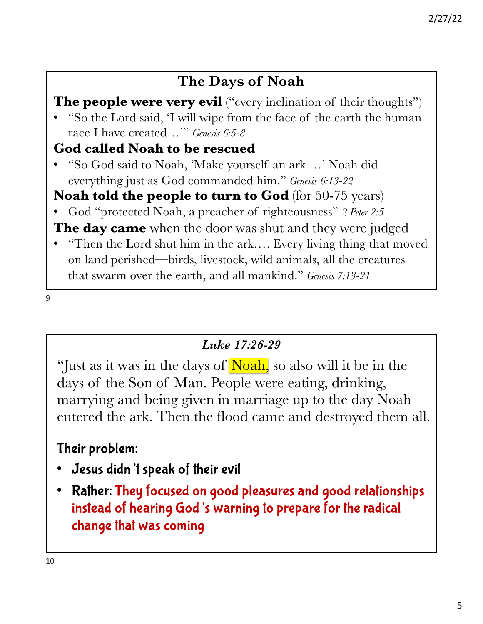# **The Days of Noah**

# **The people were very evil** ("every inclination of their thoughts")

• "So the Lord said, 'I will wipe from the face of the earth the human race I have created…'" *Genesis 6:5-8*

## **God called Noah to be rescued**

• "So God said to Noah, 'Make yourself an ark …' Noah did everything just as God commanded him." *Genesis 6:13-22*

# **Noah told the people to turn to God** (for 50-75 years)

• God "protected Noah, a preacher of righteousness" *2 Peter 2:5*

**The day came** when the door was shut and they were judged

• "Then the Lord shut him in the ark…. Every living thing that moved on land perished—birds, livestock, wild animals, all the creatures that swarm over the earth, and all mankind." *Genesis 7:13-21*

9

## *Luke 17:26-29*

"Just as it was in the days of Noah, so also will it be in the days of the Son of Man. People were eating, drinking, marrying and being given in marriage up to the day Noah entered the ark. Then the flood came and destroyed them all.

# Their problem:

- Jesus didn't speak of their evil
- Rather: They focused on good pleasures and good relationships instead of hearing God's warning to prepare for the radical change that was coming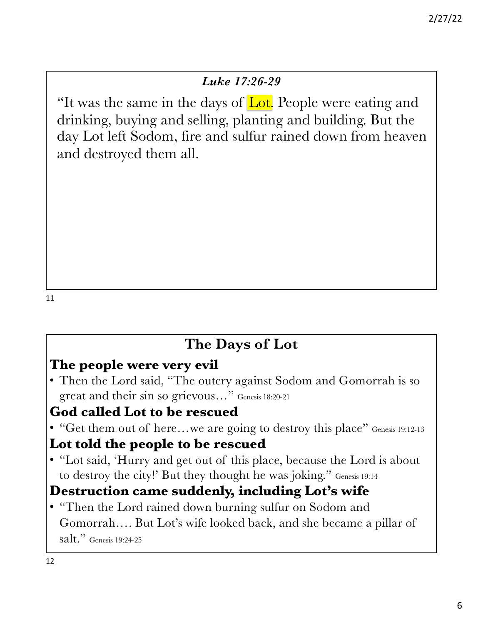## *Luke 17:26-29*

"It was the same in the days of Lot. People were eating and drinking, buying and selling, planting and building. But the day Lot left Sodom, fire and sulfur rained down from heaven and destroyed them all.

# **The Days of Lot**

# **The people were very evil**

• Then the Lord said, "The outcry against Sodom and Gomorrah is so great and their sin so grievous…" Genesis 18:20-21

### **God called Lot to be rescued**

• "Get them out of here...we are going to destroy this place" Genesis 19:12-13

## **Lot told the people to be rescued**

• "Lot said, 'Hurry and get out of this place, because the Lord is about to destroy the city!' But they thought he was joking." Genesis 19:14

# **Destruction came suddenly, including Lot's wife**

• "Then the Lord rained down burning sulfur on Sodom and Gomorrah…. But Lot's wife looked back, and she became a pillar of salt." Genesis 19:24-25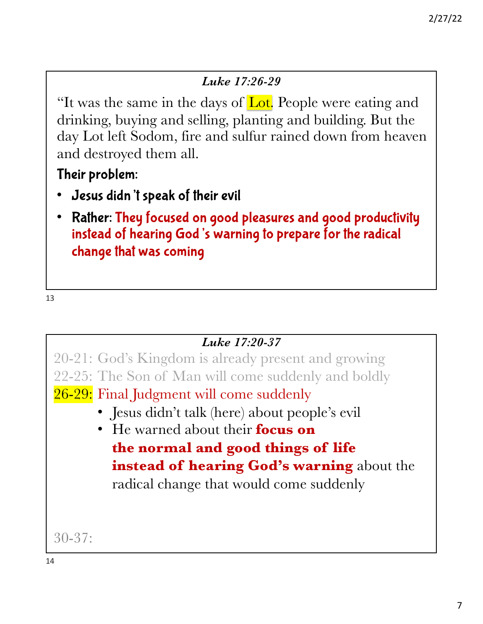## *Luke 17:26-29*

"It was the same in the days of Lot. People were eating and drinking, buying and selling, planting and building. But the day Lot left Sodom, fire and sulfur rained down from heaven and destroyed them all.

Their problem:

- Jesus didn't speak of their evil
- Rather: They focused on good pleasures and good productivity instead of hearing God's warning to prepare for the radical change that was coming

13

*Luke 17:20-37* 20-21: God's Kingdom is already present and growing 22-25: The Son of Man will come suddenly and boldly <mark>26-29:</mark> Final Judgment will come suddenly 30-37: • Jesus didn't talk (here) about people's evil • He warned about their **focus on the normal and good things of life instead of hearing God's warning** about the radical change that would come suddenly 14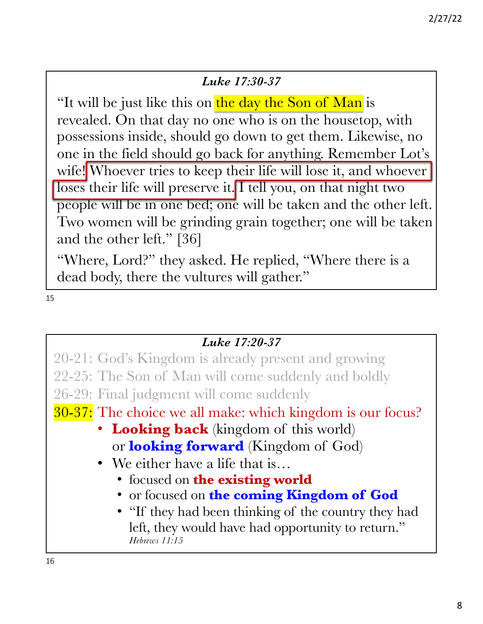#### *Luke 17:30-37*

"It will be just like this on the day the Son of Man is revealed. On that day no one who is on the housetop, with possessions inside, should go down to get them. Likewise, no one in the field should go back for anything. Remember Lot's wife! Whoever tries to keep their life will lose it, and whoever loses their life will preserve it. I tell you, on that night two people will be in one bed; one will be taken and the other left. Two women will be grinding grain together; one will be taken and the other left." [36]

"Where, Lord?" they asked. He replied, "Where there is a dead body, there the vultures will gather."

15

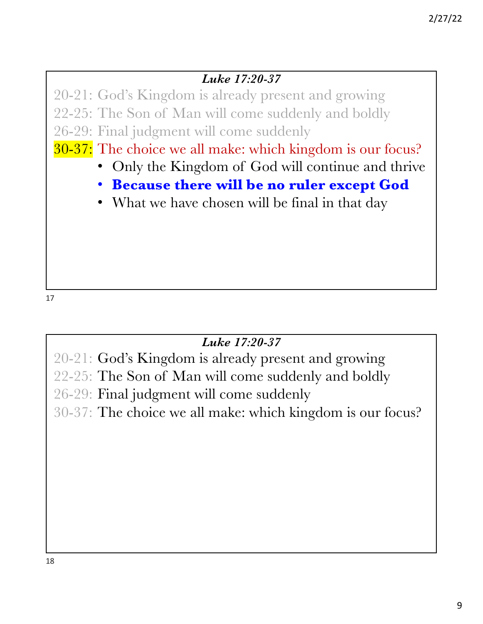## *Luke 17:20-37*

20-21: God's Kingdom is already present and growing 22-25: The Son of Man will come suddenly and boldly 26-29: Final judgment will come suddenly

30-37: The choice we all make: which kingdom is our focus?

- Only the Kingdom of God will continue and thrive
- **Because there will be no ruler except God**
- What we have chosen will be final in that day

17

## *Luke 17:20-37*

20-21: God's Kingdom is already present and growing 22-25: The Son of Man will come suddenly and boldly 26-29: Final judgment will come suddenly 30-37: The choice we all make: which kingdom is our focus?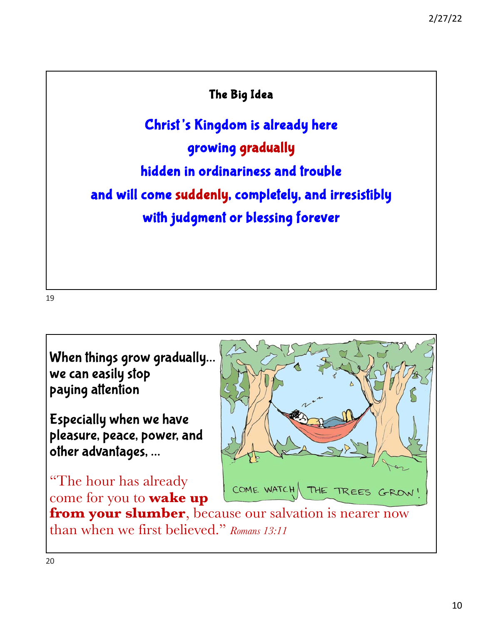## The Big Idea

Christ's Kingdom is already here growing gradually hidden in ordinariness and trouble and will come suddenly, completely, and irresistibly with judgment or blessing forever

19

When things grow gradually… we can easily stop paying attention

Especially when we have pleasure, peace, power, and other advantages, …

"The hour has already come for you to **wake up** 



**from your slumber**, because our salvation is nearer now than when we first believed." *Romans 13:11*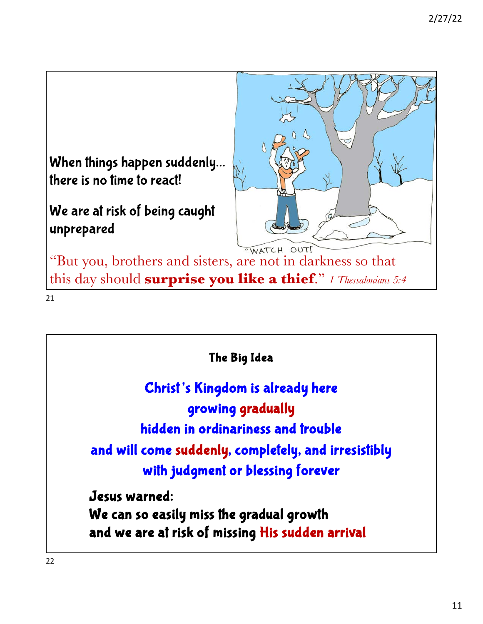

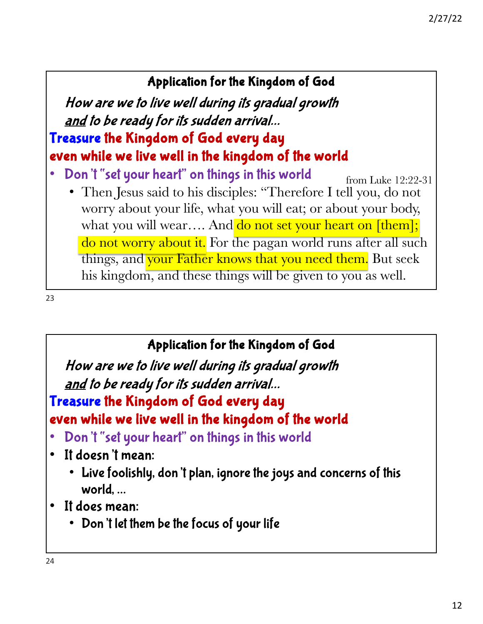## Application for the Kingdom of God

How are we to live well during its gradual growth and to be ready for its sudden arrival… Treasure the Kingdom of God every day even while we live well in the kingdom of the world

- Don't "set your heart" on things in this world
	- Then Jesus said to his disciples: "Therefore I tell you, do not worry about your life, what you will eat; or about your body, what you will wear.... And do not set your heart on [them]; do not worry about it. For the pagan world runs after all such things, and your Father knows that you need them. But seek his kingdom, and these things will be given to you as well. from Luke 12:22-31

23

# Application for the Kingdom of God

How are we to live well during its gradual growth and to be ready for its sudden arrival…

Treasure the Kingdom of God every day even while we live well in the kingdom of the world

- Don't "set your heart" on things in this world
- It doesn't mean:
	- Live foolishly, don't plan, ignore the joys and concerns of this world, …
- It does mean:
	- Don't let them be the focus of your life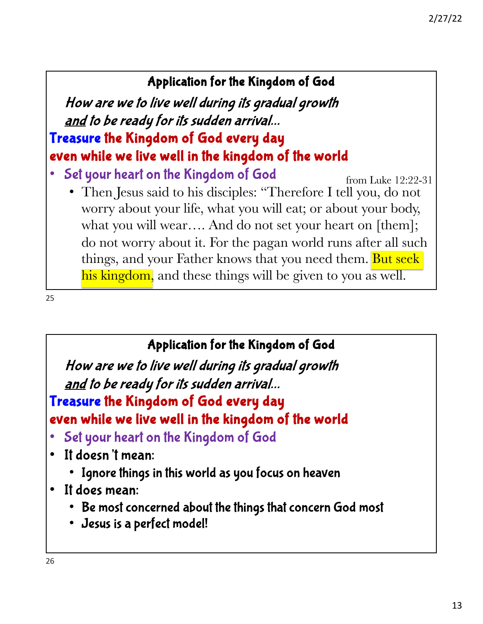# Application for the Kingdom of God

How are we to live well during its gradual growth and to be ready for its sudden arrival… Treasure the Kingdom of God every day even while we live well in the kingdom of the world

- Set your heart on the Kingdom of God
	- Then Jesus said to his disciples: "Therefore I tell you, do not worry about your life, what you will eat; or about your body, what you will wear…. And do not set your heart on [them]; do not worry about it. For the pagan world runs after all such things, and your Father knows that you need them. But seek his kingdom, and these things will be given to you as well. from Luke 12:22-31

25

# Application for the Kingdom of God

How are we to live well during its gradual growth and to be ready for its sudden arrival…

Treasure the Kingdom of God every day even while we live well in the kingdom of the world

- Set your heart on the Kingdom of God
- It doesn't mean:
	- Ignore things in this world as you focus on heaven
- It does mean:
	- Be most concerned about the things that concern God most
	- Jesus is a perfect model!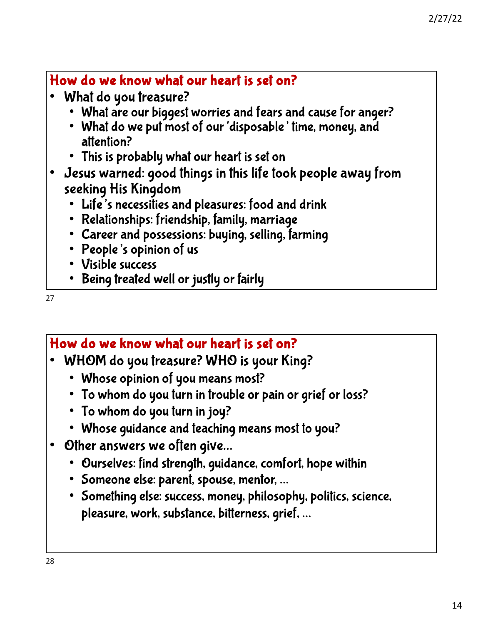# How do we know what our heart is set on?

- What do you treasure?
	- What are our biggest worries and fears and cause for anger?
	- What do we put most of our 'disposable' time, money, and attention?
	- This is probably what our heart is set on
- Jesus warned: good things in this life took people away from seeking His Kingdom
	- Life's necessities and pleasures: food and drink
	- Relationships: friendship, family, marriage
	- Career and possessions: buying, selling, farming
	- People's opinion of us
	- Visible success
	- Being treated well or justly or fairly

27

# How do we know what our heart is set on?

- WHOM do you treasure? WHO is your King?
	- Whose opinion of you means most?
	- To whom do you turn in trouble or pain or grief or loss?
	- To whom do you turn in joy?
	- Whose guidance and teaching means most to you?
- Other answers we often give…
	- Ourselves: find strength, guidance, comfort, hope within
	- Someone else: parent, spouse, mentor, …
	- Something else: success, money, philosophy, politics, science, pleasure, work, substance, bitterness, grief, …